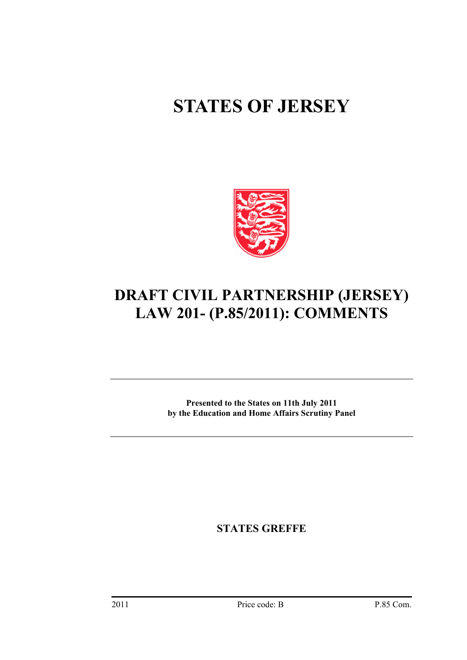# **STATES OF JERSEY**



# **DRAFT CIVIL PARTNERSHIP (JERSEY) LAW 201- (P.85/2011): COMMENTS**

**Presented to the States on 11th July 2011 by the Education and Home Affairs Scrutiny Panel** 

**STATES GREFFE**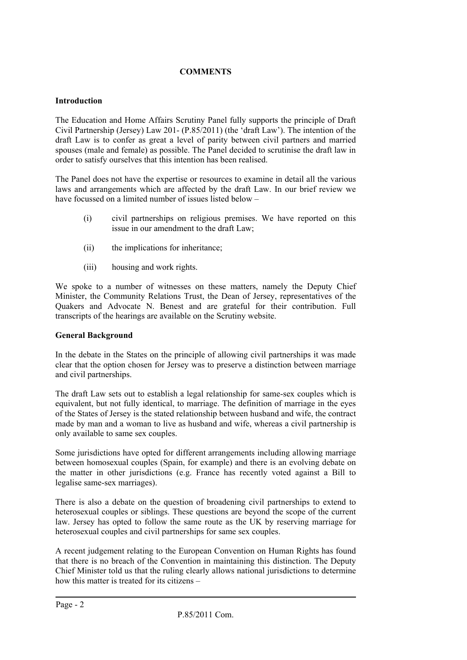# **COMMENTS**

# **Introduction**

The Education and Home Affairs Scrutiny Panel fully supports the principle of Draft Civil Partnership (Jersey) Law 201- (P.85/2011) (the 'draft Law'). The intention of the draft Law is to confer as great a level of parity between civil partners and married spouses (male and female) as possible. The Panel decided to scrutinise the draft law in order to satisfy ourselves that this intention has been realised.

The Panel does not have the expertise or resources to examine in detail all the various laws and arrangements which are affected by the draft Law. In our brief review we have focussed on a limited number of issues listed below –

- (i) civil partnerships on religious premises. We have reported on this issue in our amendment to the draft Law;
- (ii) the implications for inheritance;
- (iii) housing and work rights.

We spoke to a number of witnesses on these matters, namely the Deputy Chief Minister, the Community Relations Trust, the Dean of Jersey, representatives of the Quakers and Advocate N. Benest and are grateful for their contribution. Full transcripts of the hearings are available on the Scrutiny website.

#### **General Background**

In the debate in the States on the principle of allowing civil partnerships it was made clear that the option chosen for Jersey was to preserve a distinction between marriage and civil partnerships.

The draft Law sets out to establish a legal relationship for same-sex couples which is equivalent, but not fully identical, to marriage. The definition of marriage in the eyes of the States of Jersey is the stated relationship between husband and wife, the contract made by man and a woman to live as husband and wife, whereas a civil partnership is only available to same sex couples.

Some jurisdictions have opted for different arrangements including allowing marriage between homosexual couples (Spain, for example) and there is an evolving debate on the matter in other jurisdictions (e.g. France has recently voted against a Bill to legalise same-sex marriages).

There is also a debate on the question of broadening civil partnerships to extend to heterosexual couples or siblings. These questions are beyond the scope of the current law. Jersey has opted to follow the same route as the UK by reserving marriage for heterosexual couples and civil partnerships for same sex couples.

A recent judgement relating to the European Convention on Human Rights has found that there is no breach of the Convention in maintaining this distinction. The Deputy Chief Minister told us that the ruling clearly allows national jurisdictions to determine how this matter is treated for its citizens –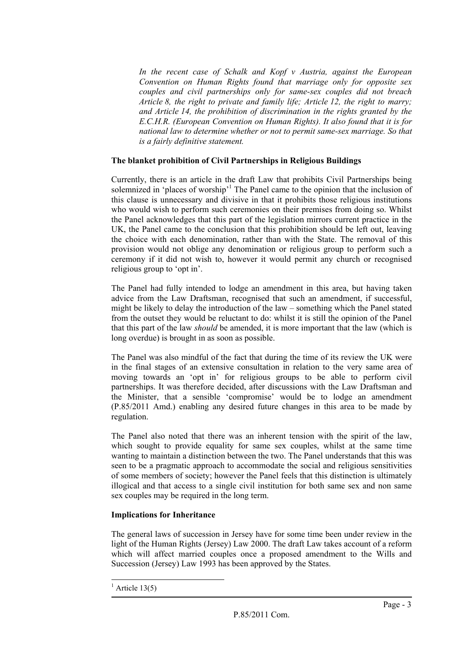*In the recent case of Schalk and Kopf v Austria, against the European Convention on Human Rights found that marriage only for opposite sex couples and civil partnerships only for same-sex couples did not breach Article 8, the right to private and family life; Article 12, the right to marry; and Article 14, the prohibition of discrimination in the rights granted by the E.C.H.R. (European Convention on Human Rights). It also found that it is for national law to determine whether or not to permit same-sex marriage. So that is a fairly definitive statement.* 

# **The blanket prohibition of Civil Partnerships in Religious Buildings**

Currently, there is an article in the draft Law that prohibits Civil Partnerships being solemnized in 'places of worship'<sup>1</sup> The Panel came to the opinion that the inclusion of this clause is unnecessary and divisive in that it prohibits those religious institutions who would wish to perform such ceremonies on their premises from doing so. Whilst the Panel acknowledges that this part of the legislation mirrors current practice in the UK, the Panel came to the conclusion that this prohibition should be left out, leaving the choice with each denomination, rather than with the State. The removal of this provision would not oblige any denomination or religious group to perform such a ceremony if it did not wish to, however it would permit any church or recognised religious group to 'opt in'.

The Panel had fully intended to lodge an amendment in this area, but having taken advice from the Law Draftsman, recognised that such an amendment, if successful, might be likely to delay the introduction of the law – something which the Panel stated from the outset they would be reluctant to do: whilst it is still the opinion of the Panel that this part of the law *should* be amended, it is more important that the law (which is long overdue) is brought in as soon as possible.

The Panel was also mindful of the fact that during the time of its review the UK were in the final stages of an extensive consultation in relation to the very same area of moving towards an 'opt in' for religious groups to be able to perform civil partnerships. It was therefore decided, after discussions with the Law Draftsman and the Minister, that a sensible 'compromise' would be to lodge an amendment (P.85/2011 Amd.) enabling any desired future changes in this area to be made by regulation.

The Panel also noted that there was an inherent tension with the spirit of the law, which sought to provide equality for same sex couples, whilst at the same time wanting to maintain a distinction between the two. The Panel understands that this was seen to be a pragmatic approach to accommodate the social and religious sensitivities of some members of society; however the Panel feels that this distinction is ultimately illogical and that access to a single civil institution for both same sex and non same sex couples may be required in the long term.

# **Implications for Inheritance**

The general laws of succession in Jersey have for some time been under review in the light of the Human Rights (Jersey) Law 2000. The draft Law takes account of a reform which will affect married couples once a proposed amendment to the Wills and Succession (Jersey) Law 1993 has been approved by the States.

l

<sup>&</sup>lt;sup>1</sup> Article 13(5)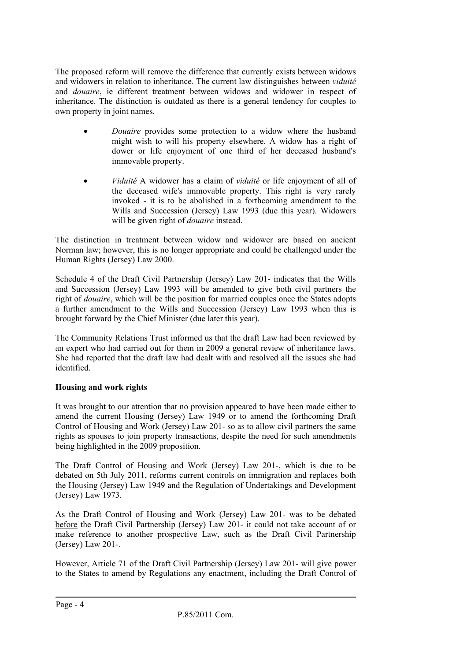The proposed reform will remove the difference that currently exists between widows and widowers in relation to inheritance. The current law distinguishes between *viduité* and *douaire*, ie different treatment between widows and widower in respect of inheritance. The distinction is outdated as there is a general tendency for couples to own property in joint names.

- *Douaire* provides some protection to a widow where the husband might wish to will his property elsewhere. A widow has a right of dower or life enjoyment of one third of her deceased husband's immovable property.
- *Viduité* A widower has a claim of *viduité* or life enjoyment of all of the deceased wife's immovable property. This right is very rarely invoked - it is to be abolished in a forthcoming amendment to the Wills and Succession (Jersey) Law 1993 (due this year). Widowers will be given right of *douaire* instead.

The distinction in treatment between widow and widower are based on ancient Norman law; however, this is no longer appropriate and could be challenged under the Human Rights (Jersey) Law 2000.

Schedule 4 of the Draft Civil Partnership (Jersey) Law 201- indicates that the Wills and Succession (Jersey) Law 1993 will be amended to give both civil partners the right of *douaire*, which will be the position for married couples once the States adopts a further amendment to the Wills and Succession (Jersey) Law 1993 when this is brought forward by the Chief Minister (due later this year).

The Community Relations Trust informed us that the draft Law had been reviewed by an expert who had carried out for them in 2009 a general review of inheritance laws. She had reported that the draft law had dealt with and resolved all the issues she had identified.

# **Housing and work rights**

It was brought to our attention that no provision appeared to have been made either to amend the current Housing (Jersey) Law 1949 or to amend the forthcoming Draft Control of Housing and Work (Jersey) Law 201- so as to allow civil partners the same rights as spouses to join property transactions, despite the need for such amendments being highlighted in the 2009 proposition.

The Draft Control of Housing and Work (Jersey) Law 201-, which is due to be debated on 5th July 2011, reforms current controls on immigration and replaces both the Housing (Jersey) Law 1949 and the Regulation of Undertakings and Development (Jersey) Law 1973.

As the Draft Control of Housing and Work (Jersey) Law 201- was to be debated before the Draft Civil Partnership (Jersey) Law 201- it could not take account of or make reference to another prospective Law, such as the Draft Civil Partnership (Jersey) Law 201-.

However, Article 71 of the Draft Civil Partnership (Jersey) Law 201- will give power to the States to amend by Regulations any enactment, including the Draft Control of